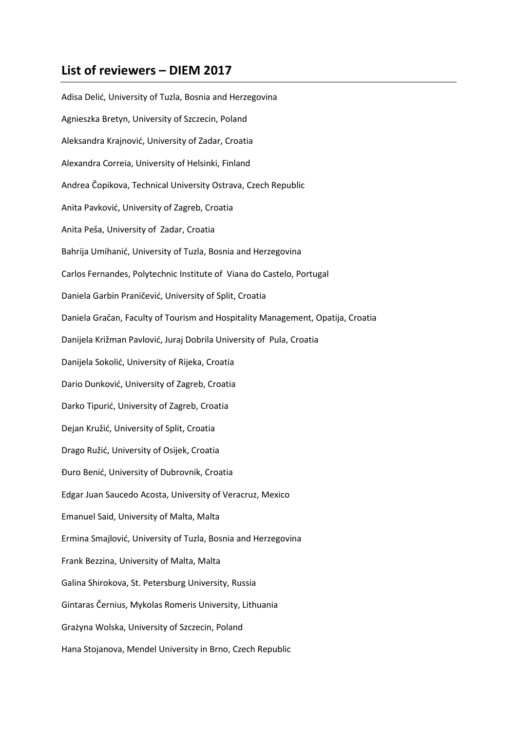## **List of reviewers – DIEM 2017**

Adisa Delić, University of Tuzla, Bosnia and Herzegovina Agnieszka Bretyn, University of Szczecin, Poland Aleksandra Krajnović, University of Zadar, Croatia Alexandra Correia, University of Helsinki, Finland Andrea Čopikova, Technical University Ostrava, Czech Republic Anita Pavković, University of Zagreb, Croatia Anita Peša, University of Zadar, Croatia Bahrija Umihanić, University of Tuzla, Bosnia and Herzegovina Carlos Fernandes, Polytechnic Institute of Viana do Castelo, Portugal Daniela Garbin Praničević, University of Split, Croatia Daniela Gračan, Faculty of Tourism and Hospitality Management, Opatija, Croatia Danijela Križman Pavlović, Juraj Dobrila University of Pula, Croatia Danijela Sokolić, University of Rijeka, Croatia Dario Dunković, University of Zagreb, Croatia Darko Tipurić, University of Zagreb, Croatia Dejan Kružić, University of Split, Croatia Drago Ružić, University of Osijek, Croatia Đuro Benić, University of Dubrovnik, Croatia Edgar Juan Saucedo Acosta, University of Veracruz, Mexico Emanuel Said, University of Malta, Malta Ermina Smajlović, University of Tuzla, Bosnia and Herzegovina Frank Bezzina, University of Malta, Malta Galina Shirokova, St. Petersburg University, Russia Gintaras Černius, Mykolas Romeris University, Lithuania Grażyna Wolska, University of Szczecin, Poland Hana Stojanova, Mendel University in Brno, Czech Republic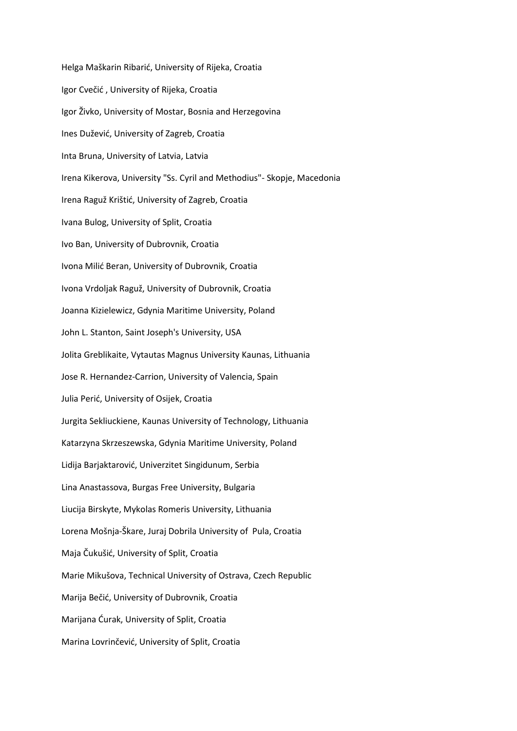Helga Maškarin Ribarić, University of Rijeka, Croatia Igor Cvečić , University of Rijeka, Croatia Igor Živko, University of Mostar, Bosnia and Herzegovina Ines Dužević, University of Zagreb, Croatia Inta Bruna, University of Latvia, Latvia Irena Kikerova, University "Ss. Cyril and Methodius"- Skopje, Macedonia Irena Raguž Krištić, University of Zagreb, Croatia Ivana Bulog, University of Split, Croatia Ivo Ban, University of Dubrovnik, Croatia Ivona Milić Beran, University of Dubrovnik, Croatia Ivona Vrdoljak Raguž, University of Dubrovnik, Croatia Joanna Kizielewicz, Gdynia Maritime University, Poland John L. Stanton, Saint Joseph's University, USA Jolita Greblikaite, Vytautas Magnus University Kaunas, Lithuania Jose R. Hernandez-Carrion, University of Valencia, Spain Julia Perić, University of Osijek, Croatia Jurgita Sekliuckiene, Kaunas University of Technology, Lithuania Katarzyna Skrzeszewska, Gdynia Maritime University, Poland Lidija Barjaktarović, Univerzitet Singidunum, Serbia Lina Anastassova, Burgas Free University, Bulgaria Liucija Birskyte, Mykolas Romeris University, Lithuania Lorena Mošnja-Škare, Juraj Dobrila University of Pula, Croatia Maja Čukušić, University of Split, Croatia Marie Mikušova, Technical University of Ostrava, Czech Republic Marija Bečić, University of Dubrovnik, Croatia Marijana Ćurak, University of Split, Croatia Marina Lovrinčević, University of Split, Croatia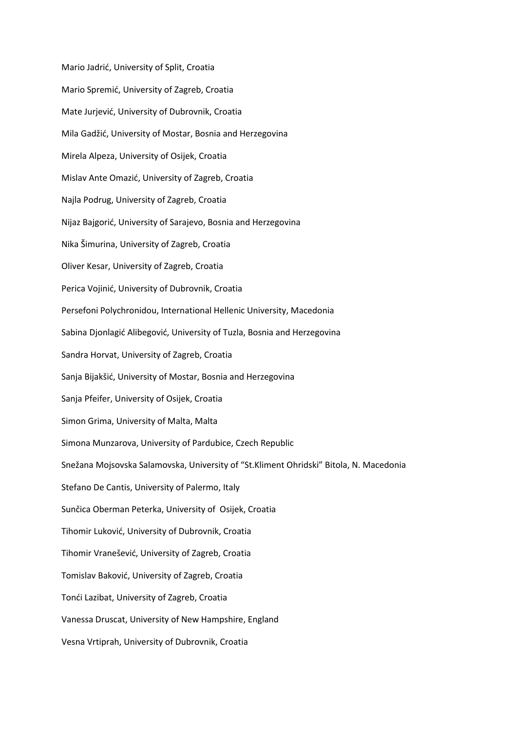Mario Jadrić, University of Split, Croatia Mario Spremić, University of Zagreb, Croatia Mate Jurjević, University of Dubrovnik, Croatia Mila Gadžić, University of Mostar, Bosnia and Herzegovina Mirela Alpeza, University of Osijek, Croatia Mislav Ante Omazić, University of Zagreb, Croatia Najla Podrug, University of Zagreb, Croatia Nijaz Bajgorić, University of Sarajevo, Bosnia and Herzegovina Nika Šimurina, University of Zagreb, Croatia Oliver Kesar, University of Zagreb, Croatia Perica Vojinić, University of Dubrovnik, Croatia Persefoni Polychronidou, International Hellenic University, Macedonia Sabina Djonlagić Alibegović, University of Tuzla, Bosnia and Herzegovina Sandra Horvat, University of Zagreb, Croatia Sanja Bijakšić, University of Mostar, Bosnia and Herzegovina Sanja Pfeifer, University of Osijek, Croatia Simon Grima, University of Malta, Malta Simona Munzarova, University of Pardubice, Czech Republic Snežana Mojsovska Salamovska, University of "St.Kliment Ohridski" Bitola, N. Macedonia Stefano De Cantis, University of Palermo, Italy Sunčica Oberman Peterka, University of Osijek, Croatia Tihomir Luković, University of Dubrovnik, Croatia Tihomir Vranešević, University of Zagreb, Croatia Tomislav Baković, University of Zagreb, Croatia Tonći Lazibat, University of Zagreb, Croatia Vanessa Druscat, University of New Hampshire, England Vesna Vrtiprah, University of Dubrovnik, Croatia